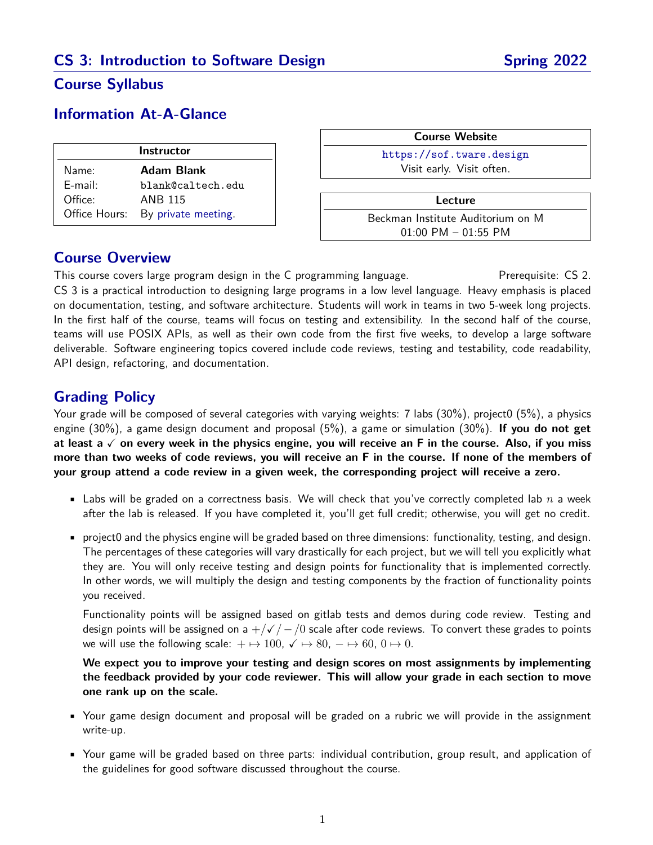## **CS 3: Introduction to Software Design Spring 2022**

### **Course Syllabus**

### **Information At-A-Glance**

| <b>Instructor</b> |                                   |
|-------------------|-----------------------------------|
| Name:             | Adam Blank                        |
| $E$ -mail:        | blank@caltech.edu                 |
| Office:           | <b>ANB 115</b>                    |
|                   | Office Hours: By private meeting. |

| <b>Course Website</b>             |                           |
|-----------------------------------|---------------------------|
|                                   | https://sof.tware.design  |
|                                   | Visit early. Visit often. |
|                                   |                           |
| Lecture                           |                           |
| Beckman Institute Auditorium on M |                           |
|                                   | $01:00$ PM $- 01:55$ PM   |

### **Course Overview**

This course covers large program design in the C programming language. Prerequisite: CS 2. CS 3 is a practical introduction to designing large programs in a low level language. Heavy emphasis is placed on documentation, testing, and software architecture. Students will work in teams in two 5-week long projects. In the first half of the course, teams will focus on testing and extensibility. In the second half of the course, teams will use POSIX APIs, as well as their own code from the first five weeks, to develop a large software deliverable. Software engineering topics covered include code reviews, testing and testability, code readability, API design, refactoring, and documentation.

### **Grading Policy**

Your grade will be composed of several categories with varying weights: 7 labs (30%), project0 (5%), a physics engine (30%), a game design document and proposal (5%), a game or simulation (30%). **If you do not get at least a** X **on every week in the physics engine, you will receive an F in the course. Also, if you miss more than two weeks of code reviews, you will receive an F in the course. If none of the members of your group attend a code review in a given week, the corresponding project will receive a zero.**

- **•** Labs will be graded on a correctness basis. We will check that you've correctly completed lab  $n$  a week after the lab is released. If you have completed it, you'll get full credit; otherwise, you will get no credit.
- project0 and the physics engine will be graded based on three dimensions: functionality, testing, and design. The percentages of these categories will vary drastically for each project, but we will tell you explicitly what they are. You will only receive testing and design points for functionality that is implemented correctly. In other words, we will multiply the design and testing components by the fraction of functionality points you received.

Functionality points will be assigned based on gitlab tests and demos during code review. Testing and design points will be assigned on a  $+\sqrt{\sqrt{2}}$  /0 scale after code reviews. To convert these grades to points we will use the following scale:  $+ \mapsto 100$ ,  $\checkmark \mapsto 80$ ,  $- \mapsto 60$ ,  $0 \mapsto 0$ .

**We expect you to improve your testing and design scores on most assignments by implementing the feedback provided by your code reviewer. This will allow your grade in each section to move one rank up on the scale.**

- Your game design document and proposal will be graded on a rubric we will provide in the assignment write-up.
- Your game will be graded based on three parts: individual contribution, group result, and application of the guidelines for good software discussed throughout the course.